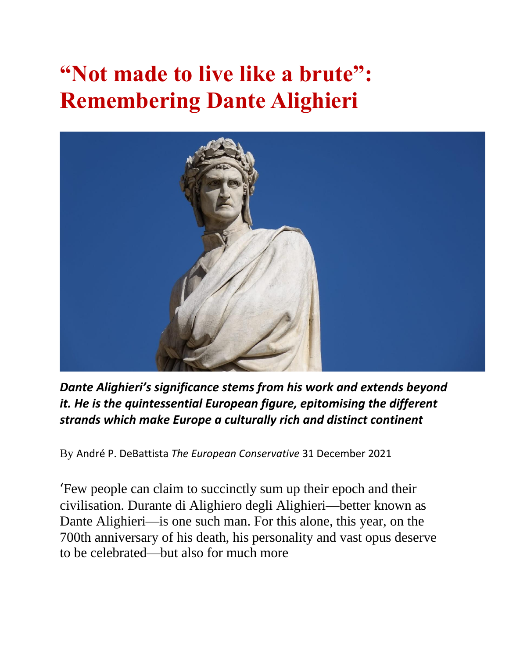# **"Not made to live like a brute": Remembering Dante Alighieri**



*Dante Alighieri's significance stems from his work and extends beyond it. He is the quintessential European figure, epitomising the different strands which make Europe a culturally rich and distinct continent*

By André P. DeBattista *The European Conservative* 31 December 2021

'Few people can claim to succinctly sum up their epoch and their civilisation. Durante di Alighiero degli Alighieri—better known as Dante Alighieri—is one such man. For this alone, this year, on the 700th anniversary of his death, his personality and vast opus deserve to be celebrated—but also for much more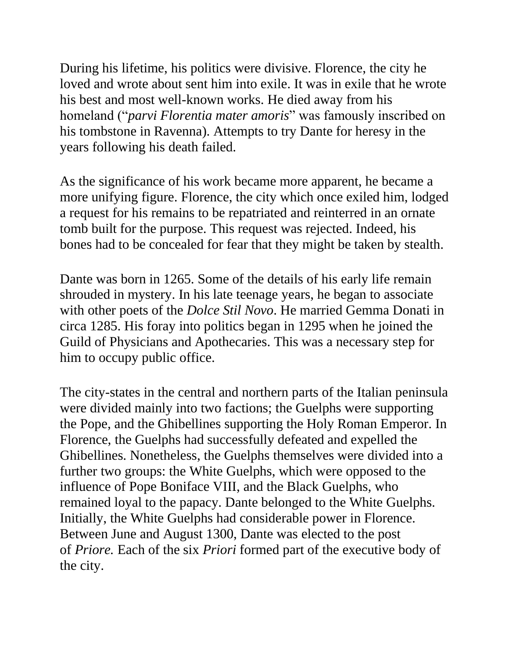During his lifetime, his politics were divisive. Florence, the city he loved and wrote about sent him into exile. It was in exile that he wrote his best and most well-known works. He died away from his homeland ("*parvi Florentia mater amoris*" was famously inscribed on his tombstone in Ravenna). Attempts to try Dante for heresy in the years following his death failed.

As the significance of his work became more apparent, he became a more unifying figure. Florence, the city which once exiled him, lodged a request for his remains to be repatriated and reinterred in an ornate tomb built for the purpose. This request was rejected. Indeed, his bones had to be concealed for fear that they might be taken by stealth.

Dante was born in 1265. Some of the details of his early life remain shrouded in mystery. In his late teenage years, he began to associate with other poets of the *Dolce Stil Novo*. He married Gemma Donati in circa 1285. His foray into politics began in 1295 when he joined the Guild of Physicians and Apothecaries. This was a necessary step for him to occupy public office.

The city-states in the central and northern parts of the Italian peninsula were divided mainly into two factions; the Guelphs were supporting the Pope, and the Ghibellines supporting the Holy Roman Emperor. In Florence, the Guelphs had successfully defeated and expelled the Ghibellines. Nonetheless, the Guelphs themselves were divided into a further two groups: the White Guelphs, which were opposed to the influence of Pope Boniface VIII, and the Black Guelphs, who remained loyal to the papacy. Dante belonged to the White Guelphs. Initially, the White Guelphs had considerable power in Florence. Between June and August 1300, Dante was elected to the post of *Priore.* Each of the six *Priori* formed part of the executive body of the city.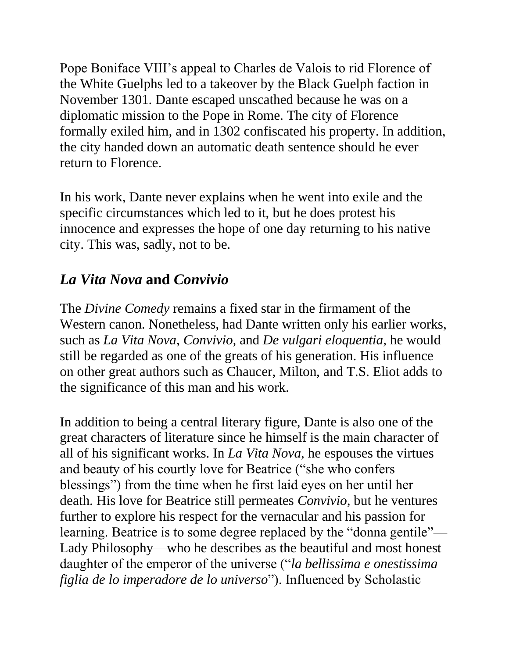Pope Boniface VIII's appeal to Charles de Valois to rid Florence of the White Guelphs led to a takeover by the Black Guelph faction in November 1301. Dante escaped unscathed because he was on a diplomatic mission to the Pope in Rome. The city of Florence formally exiled him, and in 1302 confiscated his property. In addition, the city handed down an automatic death sentence should he ever return to Florence.

In his work, Dante never explains when he went into exile and the specific circumstances which led to it, but he does protest his innocence and expresses the hope of one day returning to his native city. This was, sadly, not to be.

# *La Vita Nova* **and** *Convivio*

The *Divine Comedy* remains a fixed star in the firmament of the Western canon. Nonetheless, had Dante written only his earlier works, such as *La Vita Nova*, *Convivio,* and *De vulgari eloquentia*, he would still be regarded as one of the greats of his generation. His influence on other great authors such as Chaucer, Milton, and T.S. Eliot adds to the significance of this man and his work.

In addition to being a central literary figure, Dante is also one of the great characters of literature since he himself is the main character of all of his significant works. In *La Vita Nova*, he espouses the virtues and beauty of his courtly love for Beatrice ("she who confers blessings") from the time when he first laid eyes on her until her death. His love for Beatrice still permeates *Convivio*, but he ventures further to explore his respect for the vernacular and his passion for learning. Beatrice is to some degree replaced by the "donna gentile"— Lady Philosophy—who he describes as the beautiful and most honest daughter of the emperor of the universe ("*la bellissima e onestissima figlia de lo imperadore de lo universo*"). Influenced by Scholastic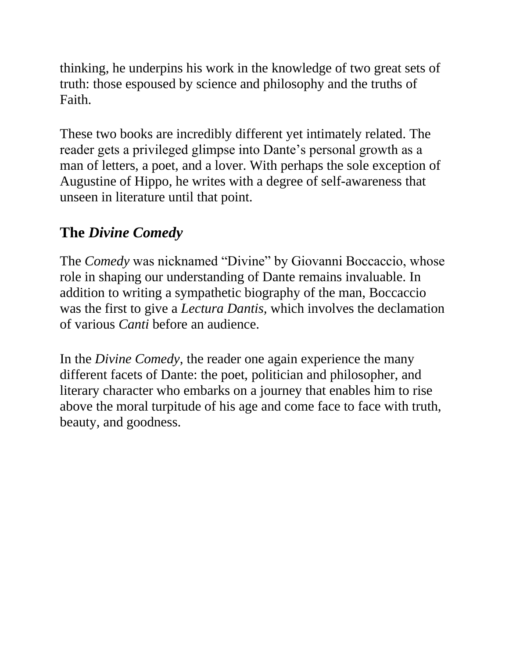thinking, he underpins his work in the knowledge of two great sets of truth: those espoused by science and philosophy and the truths of Faith.

These two books are incredibly different yet intimately related. The reader gets a privileged glimpse into Dante's personal growth as a man of letters, a poet, and a lover. With perhaps the sole exception of Augustine of Hippo, he writes with a degree of self-awareness that unseen in literature until that point.

# **The** *Divine Comedy*

The *Comedy* was nicknamed "Divine" by Giovanni Boccaccio, whose role in shaping our understanding of Dante remains invaluable. In addition to writing a sympathetic biography of the man, Boccaccio was the first to give a *Lectura Dantis,* which involves the declamation of various *Canti* before an audience.

In the *Divine Comedy*, the reader one again experience the many different facets of Dante: the poet, politician and philosopher, and literary character who embarks on a journey that enables him to rise above the moral turpitude of his age and come face to face with truth, beauty, and goodness.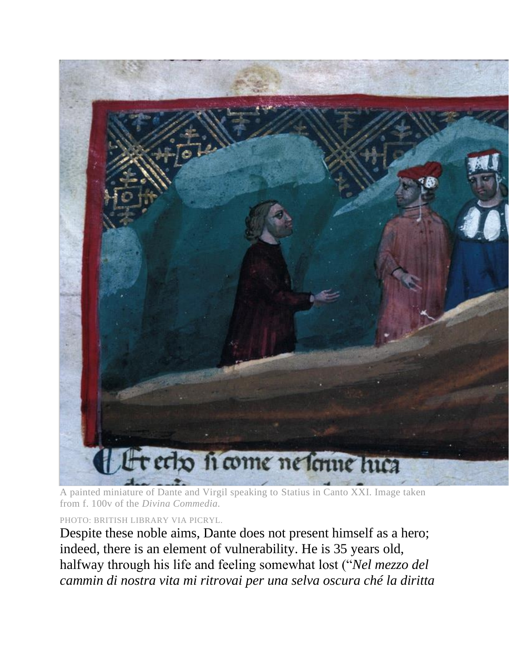

A painted miniature of Dante and Virgil speaking to Statius in Canto XXI. Image taken from f. 100v of the *Divina Commedia.*

PHOTO: BRITISH LIBRARY VIA PICRYL.

Despite these noble aims, Dante does not present himself as a hero; indeed, there is an element of vulnerability. He is 35 years old, halfway through his life and feeling somewhat lost ("*Nel mezzo del cammin di nostra vita mi ritrovai per una selva oscura ché la diritta*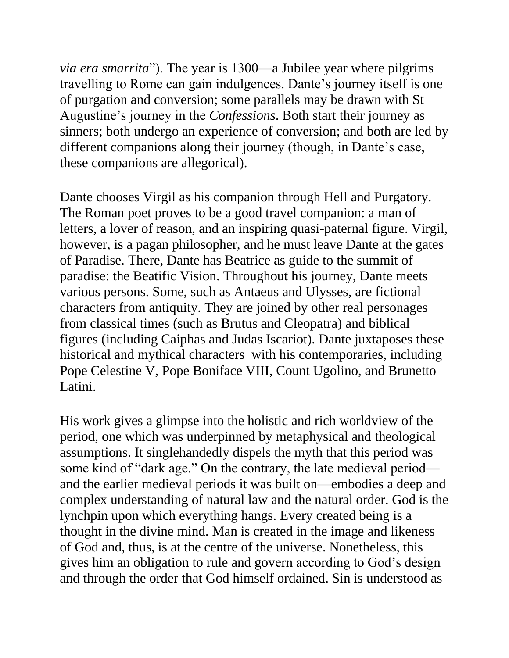*via era smarrita*"). The year is 1300—a Jubilee year where pilgrims travelling to Rome can gain indulgences. Dante's journey itself is one of purgation and conversion; some parallels may be drawn with St Augustine's journey in the *Confessions*. Both start their journey as sinners; both undergo an experience of conversion; and both are led by different companions along their journey (though, in Dante's case, these companions are allegorical).

Dante chooses Virgil as his companion through Hell and Purgatory. The Roman poet proves to be a good travel companion: a man of letters, a lover of reason, and an inspiring quasi-paternal figure. Virgil, however, is a pagan philosopher, and he must leave Dante at the gates of Paradise. There, Dante has Beatrice as guide to the summit of paradise: the Beatific Vision. Throughout his journey, Dante meets various persons. Some, such as Antaeus and Ulysses, are fictional characters from antiquity. They are joined by other real personages from classical times (such as Brutus and Cleopatra) and biblical figures (including Caiphas and Judas Iscariot). Dante juxtaposes these historical and mythical characters with his contemporaries, including Pope Celestine V, Pope Boniface VIII, Count Ugolino, and Brunetto Latini.

His work gives a glimpse into the holistic and rich worldview of the period, one which was underpinned by metaphysical and theological assumptions. It singlehandedly dispels the myth that this period was some kind of "dark age." On the contrary, the late medieval period and the earlier medieval periods it was built on—embodies a deep and complex understanding of natural law and the natural order. God is the lynchpin upon which everything hangs. Every created being is a thought in the divine mind. Man is created in the image and likeness of God and, thus, is at the centre of the universe. Nonetheless, this gives him an obligation to rule and govern according to God's design and through the order that God himself ordained. Sin is understood as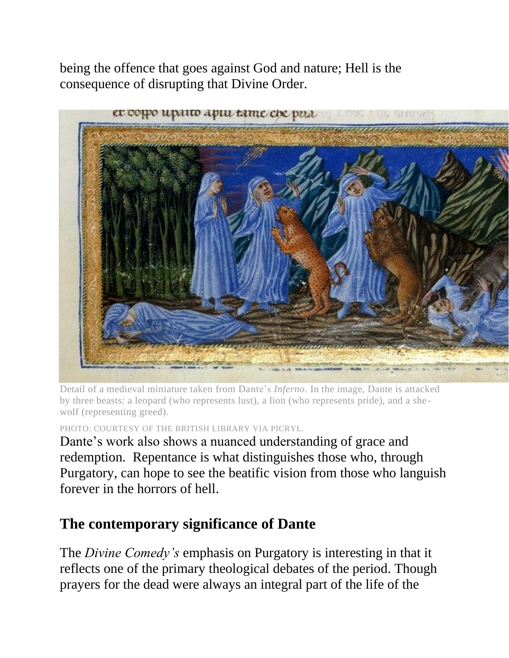being the offence that goes against God and nature; Hell is the consequence of disrupting that Divine Order.



et coyo upano apiù tame che paa

Detail of a medieval miniature taken from Dante's *Inferno*. In the image, Dante is attacked by three beasts: a leopard (who represents lust), a lion (who represents pride), and a she wolf (representing greed).

PHOTO: COURTESY OF THE BRITISH LIBRARY VIA PICRYL.

Dante's work also shows a nuanced understanding of grace and redemption. Repentance is what distinguishes those who, through Purgatory, can hope to see the beatific vision from those who languish forever in the horrors of hell.

### **The contemporary significance of Dante**

The *Divine Comedy's* emphasis on Purgatory is interesting in that it reflects one of the primary theological debates of the period. Though prayers for the dead were always an integral part of the life of the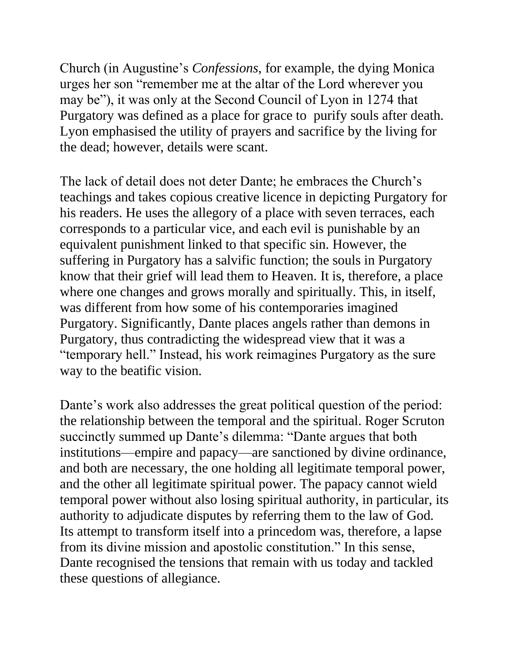Church (in Augustine's *Confessions*, for example, the dying Monica urges her son "remember me at the altar of the Lord wherever you may be"), it was only at the Second Council of Lyon in 1274 that Purgatory was defined as a place for grace to purify souls after death. Lyon emphasised the utility of prayers and sacrifice by the living for the dead; however, details were scant.

The lack of detail does not deter Dante; he embraces the Church's teachings and takes copious creative licence in depicting Purgatory for his readers. He uses the allegory of a place with seven terraces, each corresponds to a particular vice, and each evil is punishable by an equivalent punishment linked to that specific sin. However, the suffering in Purgatory has a salvific function; the souls in Purgatory know that their grief will lead them to Heaven. It is, therefore, a place where one changes and grows morally and spiritually. This, in itself, was different from how some of his contemporaries imagined Purgatory. Significantly, Dante places angels rather than demons in Purgatory, thus contradicting the widespread view that it was a "temporary hell." Instead, his work reimagines Purgatory as the sure way to the beatific vision.

Dante's work also addresses the great political question of the period: the relationship between the temporal and the spiritual. Roger Scruton succinctly summed up Dante's dilemma: "Dante argues that both institutions—empire and papacy—are sanctioned by divine ordinance, and both are necessary, the one holding all legitimate temporal power, and the other all legitimate spiritual power. The papacy cannot wield temporal power without also losing spiritual authority, in particular, its authority to adjudicate disputes by referring them to the law of God. Its attempt to transform itself into a princedom was, therefore, a lapse from its divine mission and apostolic constitution." In this sense, Dante recognised the tensions that remain with us today and tackled these questions of allegiance.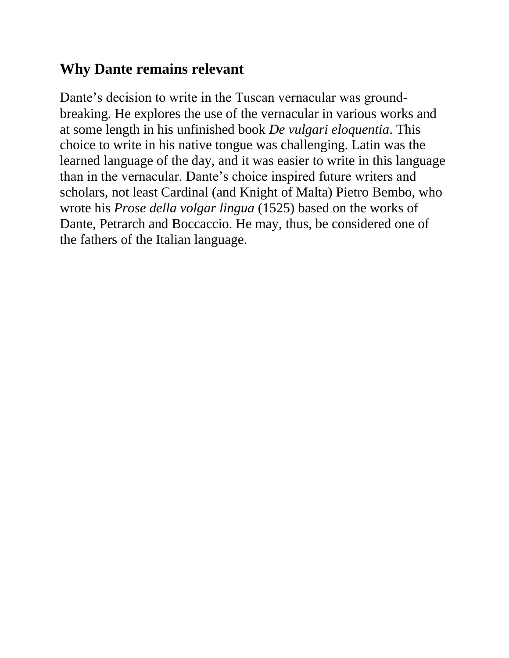## **Why Dante remains relevant**

Dante's decision to write in the Tuscan vernacular was groundbreaking. He explores the use of the vernacular in various works and at some length in his unfinished book *De vulgari eloquentia*. This choice to write in his native tongue was challenging. Latin was the learned language of the day, and it was easier to write in this language than in the vernacular. Dante's choice inspired future writers and scholars, not least Cardinal (and Knight of Malta) Pietro Bembo, who wrote his *Prose della volgar lingua* (1525) based on the works of Dante, Petrarch and Boccaccio. He may, thus, be considered one of the fathers of the Italian language.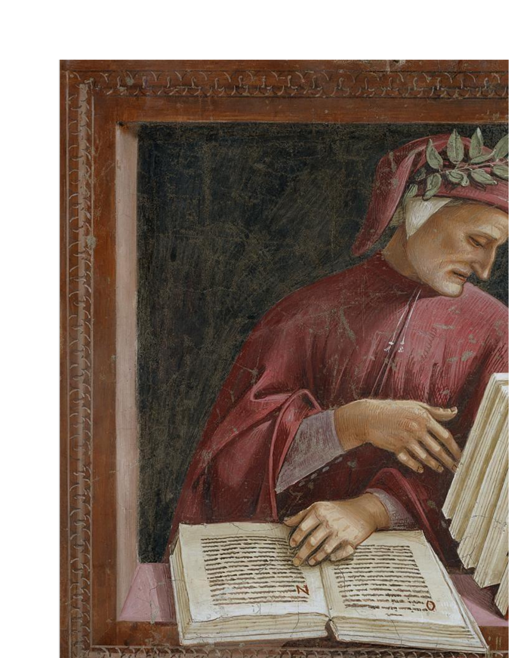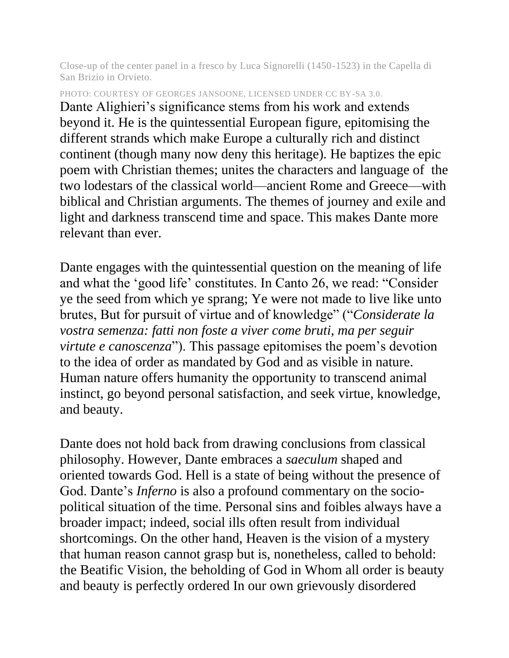Close-up of the center panel in a fresco by Luca Signorelli (1450-1523) in the Capella di San Brizio in Orvieto.

#### PHOTO: COURTESY OF GEORGES JANSOONE, LICENSED UNDER CC BY-SA 3.0.

Dante Alighieri's significance stems from his work and extends beyond it. He is the quintessential European figure, epitomising the different strands which make Europe a culturally rich and distinct continent (though many now deny this heritage). He baptizes the epic poem with Christian themes; unites the characters and language of the two lodestars of the classical world—ancient Rome and Greece—with biblical and Christian arguments. The themes of journey and exile and light and darkness transcend time and space. This makes Dante more relevant than ever.

Dante engages with the quintessential question on the meaning of life and what the 'good life' constitutes. In Canto 26, we read: "Consider ye the seed from which ye sprang; Ye were not made to live like unto brutes, But for pursuit of virtue and of knowledge" ("*Considerate la vostra semenza: fatti non foste a viver come bruti, ma per seguir virtute e canoscenza*"). This passage epitomises the poem's devotion to the idea of order as mandated by God and as visible in nature. Human nature offers humanity the opportunity to transcend animal instinct, go beyond personal satisfaction, and seek virtue, knowledge, and beauty.

Dante does not hold back from drawing conclusions from classical philosophy. However, Dante embraces a *saeculum* shaped and oriented towards God. Hell is a state of being without the presence of God. Dante's *Inferno* is also a profound commentary on the sociopolitical situation of the time. Personal sins and foibles always have a broader impact; indeed, social ills often result from individual shortcomings. On the other hand, Heaven is the vision of a mystery that human reason cannot grasp but is, nonetheless, called to behold: the Beatific Vision, the beholding of God in Whom all order is beauty and beauty is perfectly ordered In our own grievously disordered